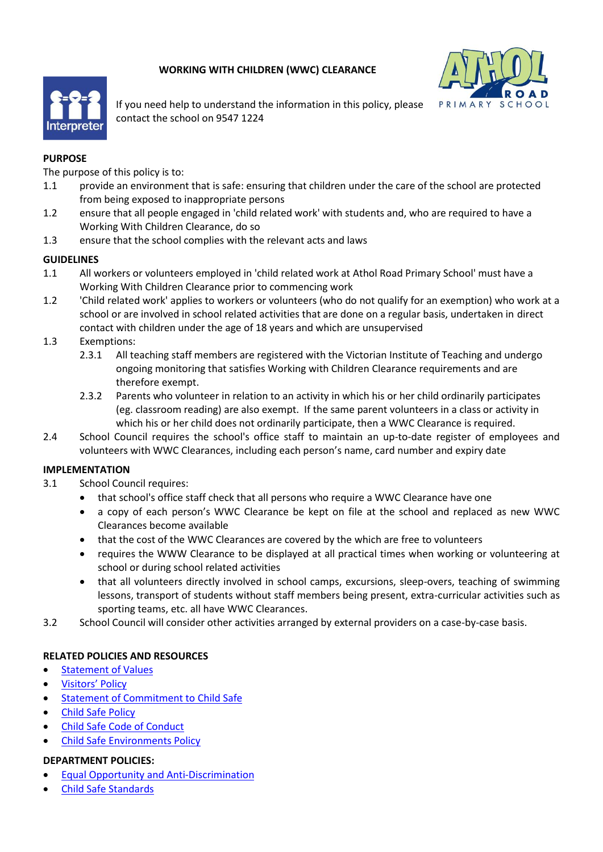# **WORKING WITH CHILDREN (WWC) CLEARANCE**





If you need help to understand the information in this policy, please contact the school on 9547 1224

### **PURPOSE**

The purpose of this policy is to:

- 1.1 provide an environment that is safe: ensuring that children under the care of the school are protected from being exposed to inappropriate persons
- 1.2 ensure that all people engaged in 'child related work' with students and, who are required to have a Working With Children Clearance, do so
- 1.3 ensure that the school complies with the relevant acts and laws

## **GUIDELINES**

- 1.1 All workers or volunteers employed in 'child related work at Athol Road Primary School' must have a Working With Children Clearance prior to commencing work
- 1.2 'Child related work' applies to workers or volunteers (who do not qualify for an exemption) who work at a school or are involved in school related activities that are done on a regular basis, undertaken in direct contact with children under the age of 18 years and which are unsupervised
- 1.3 Exemptions:
	- 2.3.1 All teaching staff members are registered with the Victorian Institute of Teaching and undergo ongoing monitoring that satisfies Working with Children Clearance requirements and are therefore exempt.
	- 2.3.2 Parents who volunteer in relation to an activity in which his or her child ordinarily participates (eg. classroom reading) are also exempt. If the same parent volunteers in a class or activity in which his or her child does not ordinarily participate, then a WWC Clearance is required.
- 2.4 School Council requires the school's office staff to maintain an up-to-date register of employees and volunteers with WWC Clearances, including each person's name, card number and expiry date

## **IMPLEMENTATION**

- 3.1 School Council requires:
	- that school's office staff check that all persons who require a WWC Clearance have one
	- a copy of each person's WWC Clearance be kept on file at the school and replaced as new WWC Clearances become available
	- that the cost of the WWC Clearances are covered by the which are free to volunteers
	- requires the WWW Clearance to be displayed at all practical times when working or volunteering at school or during school related activities
	- that all volunteers directly involved in school camps, excursions, sleep-overs, teaching of swimming lessons, transport of students without staff members being present, extra-curricular activities such as sporting teams, etc. all have WWC Clearances.
- 3.2 School Council will consider other activities arranged by external providers on a case-by-case basis.

#### **RELATED POLICIES AND RESOURCES**

- [Statement of Values](https://atholroadps.vic.edu.au/parents/#policies)
- [Visitors' Policy](https://atholroadps.vic.edu.au/parents/#policies)
- [Statement of Commitment to Child Safe](https://atholroadps.vic.edu.au/parents/#policies)
- [Child Safe Policy](https://atholroadps.vic.edu.au/parents/#policies)
- [Child Safe Code of Conduct](https://atholroadps.vic.edu.au/parents/#policies)
- [Child Safe Environments Policy](https://atholroadps.vic.edu.au/parents/#policies)

#### **DEPARTMENT POLICIES:**

- [Equal Opportunity and Anti-Discrimination](https://www2.education.vic.gov.au/pal/equal-opportunity/policy-and-guidelines)
- [Child Safe Standards](https://www2.education.vic.gov.au/pal/child-safe-standards/policy)